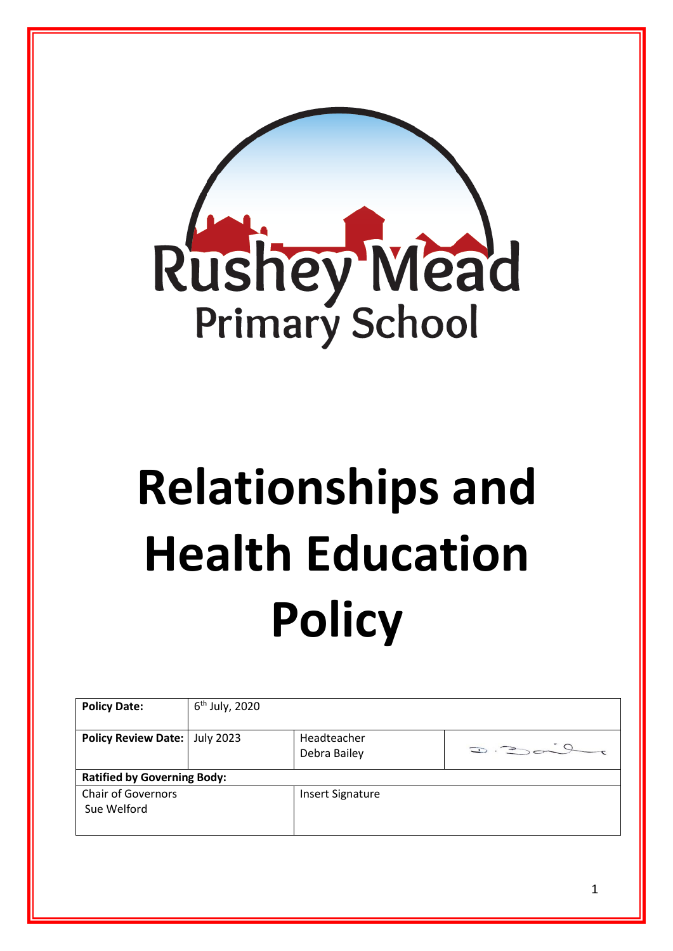

# **Relationships and Health Education Policy**

| <b>Policy Date:</b>                | $6th$ July, 2020 |                         |        |
|------------------------------------|------------------|-------------------------|--------|
|                                    |                  |                         |        |
| Policy Review Date:   July 2023    |                  | Headteacher             |        |
|                                    |                  | Debra Bailey            | D.2049 |
| <b>Ratified by Governing Body:</b> |                  |                         |        |
| <b>Chair of Governors</b>          |                  | <b>Insert Signature</b> |        |
| Sue Welford                        |                  |                         |        |
|                                    |                  |                         |        |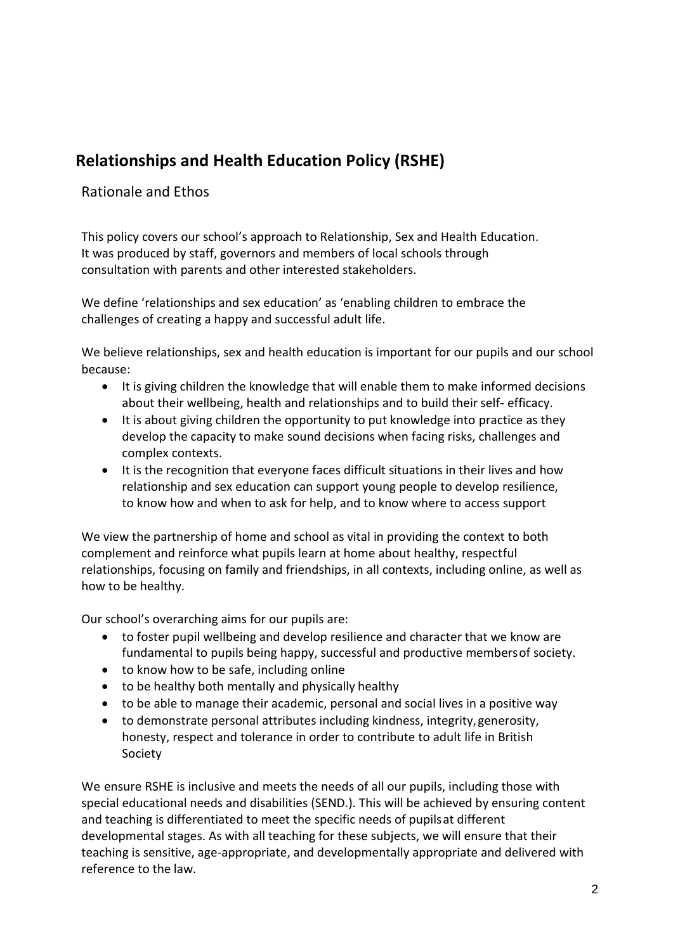### **Relationships and Health Education Policy (RSHE)**

#### Rationale and Ethos

This policy covers our school's approach to Relationship, Sex and Health Education. It was produced by staff, governors and members of local schools through consultation with parents and other interested stakeholders.

We define 'relationships and sex education' as 'enabling children to embrace the challenges of creating a happy and successful adult life.

We believe relationships, sex and health education is important for our pupils and our school because:

- It is giving children the knowledge that will enable them to make informed decisions about their wellbeing, health and relationships and to build their self- efficacy.
- It is about giving children the opportunity to put knowledge into practice as they develop the capacity to make sound decisions when facing risks, challenges and complex contexts.
- It is the recognition that everyone faces difficult situations in their lives and how relationship and sex education can support young people to develop resilience, to know how and when to ask for help, and to know where to access support

We view the partnership of home and school as vital in providing the context to both complement and reinforce what pupils learn at home about healthy, respectful relationships, focusing on family and friendships, in all contexts, including online, as well as how to be healthy.

Our school's overarching aims for our pupils are:

- to foster pupil wellbeing and develop resilience and character that we know are fundamental to pupils being happy, successful and productive membersof society.
- to know how to be safe, including online
- to be healthy both mentally and physically healthy
- to be able to manage their academic, personal and social lives in a positive way
- to demonstrate personal attributes including kindness, integrity,generosity, honesty, respect and tolerance in order to contribute to adult life in British Society

We ensure RSHE is inclusive and meets the needs of all our pupils, including those with special educational needs and disabilities (SEND.). This will be achieved by ensuring content and teaching is differentiated to meet the specific needs of pupilsat different developmental stages. As with all teaching for these subjects, we will ensure that their teaching is sensitive, age-appropriate, and developmentally appropriate and delivered with reference to the law.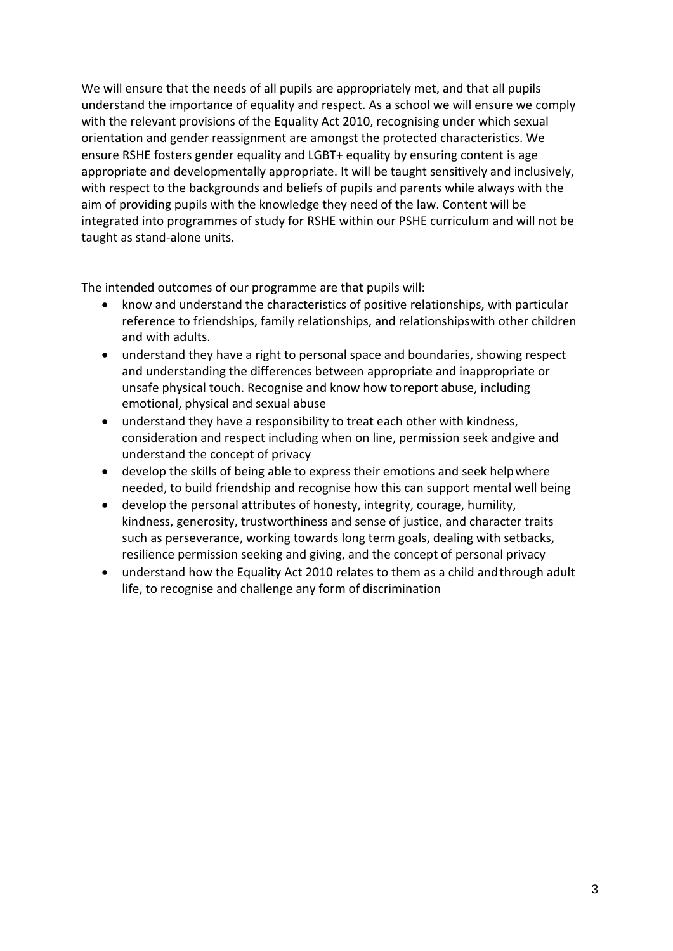We will ensure that the needs of all pupils are appropriately met, and that all pupils understand the importance of equality and respect. As a school we will ensure we comply with the relevant provisions of the Equality Act 2010, recognising under which sexual orientation and gender reassignment are amongst the protected characteristics. We ensure RSHE fosters gender equality and LGBT+ equality by ensuring content is age appropriate and developmentally appropriate. It will be taught sensitively and inclusively, with respect to the backgrounds and beliefs of pupils and parents while always with the aim of providing pupils with the knowledge they need of the law. Content will be integrated into programmes of study for RSHE within our PSHE curriculum and will not be taught as stand-alone units.

The intended outcomes of our programme are that pupils will:

- know and understand the characteristics of positive relationships, with particular reference to friendships, family relationships, and relationshipswith other children and with adults.
- understand they have a right to personal space and boundaries, showing respect and understanding the differences between appropriate and inappropriate or unsafe physical touch. Recognise and know how toreport abuse, including emotional, physical and sexual abuse
- understand they have a responsibility to treat each other with kindness, consideration and respect including when on line, permission seek andgive and understand the concept of privacy
- develop the skills of being able to express their emotions and seek helpwhere needed, to build friendship and recognise how this can support mental well being
- develop the personal attributes of honesty, integrity, courage, humility, kindness, generosity, trustworthiness and sense of justice, and character traits such as perseverance, working towards long term goals, dealing with setbacks, resilience permission seeking and giving, and the concept of personal privacy
- understand how the Equality Act 2010 relates to them as a child andthrough adult life, to recognise and challenge any form of discrimination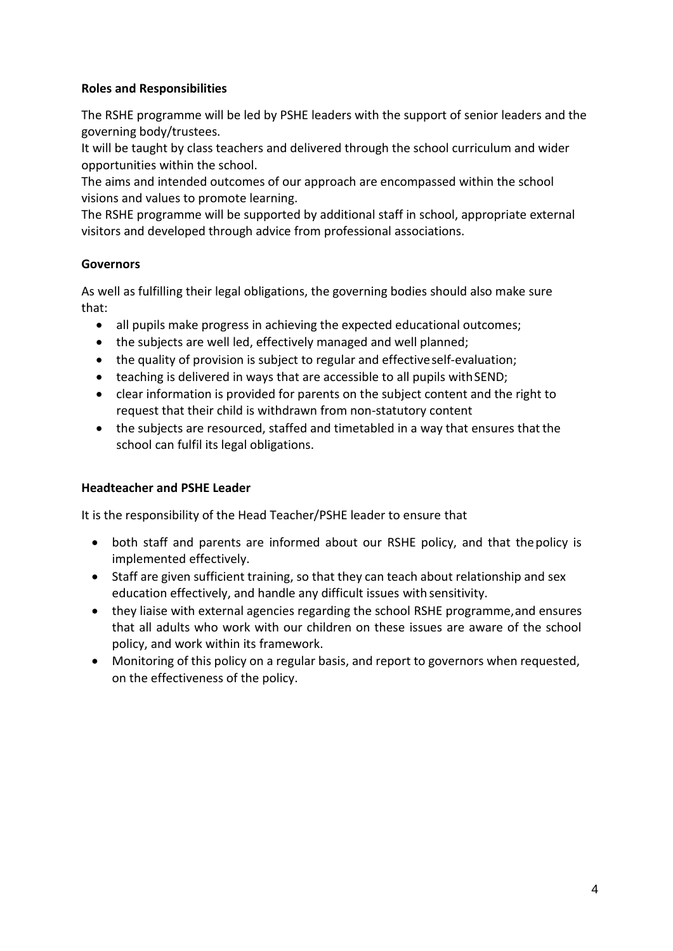#### **Roles and Responsibilities**

The RSHE programme will be led by PSHE leaders with the support of senior leaders and the governing body/trustees.

It will be taught by class teachers and delivered through the school curriculum and wider opportunities within the school.

The aims and intended outcomes of our approach are encompassed within the school visions and values to promote learning.

The RSHE programme will be supported by additional staff in school, appropriate external visitors and developed through advice from professional associations.

#### **Governors**

As well as fulfilling their legal obligations, the governing bodies should also make sure that:

- all pupils make progress in achieving the expected educational outcomes;
- the subjects are well led, effectively managed and well planned;
- the quality of provision is subject to regular and effectiveself-evaluation;
- teaching is delivered in ways that are accessible to all pupils withSEND;
- clear information is provided for parents on the subject content and the right to request that their child is withdrawn from non-statutory content
- the subjects are resourced, staffed and timetabled in a way that ensures thatthe school can fulfil its legal obligations.

#### **Headteacher and PSHE Leader**

It is the responsibility of the Head Teacher/PSHE leader to ensure that

- both staff and parents are informed about our RSHE policy, and that thepolicy is implemented effectively.
- Staff are given sufficient training, so that they can teach about relationship and sex education effectively, and handle any difficult issues with sensitivity.
- they liaise with external agencies regarding the school RSHE programme,and ensures that all adults who work with our children on these issues are aware of the school policy, and work within its framework.
- Monitoring of this policy on a regular basis, and report to governors when requested, on the effectiveness of the policy.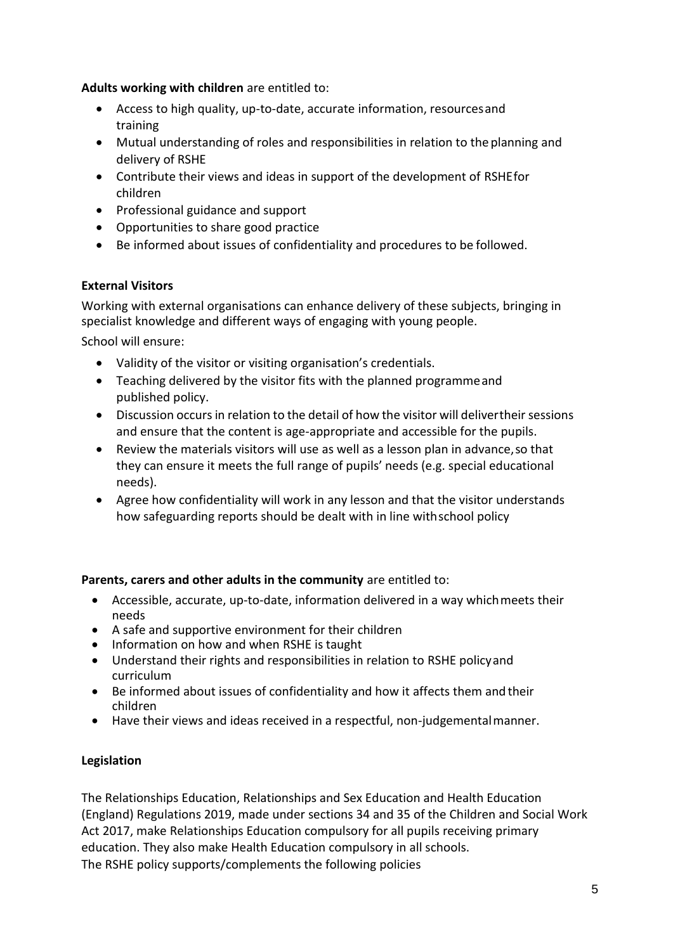**Adults working with children** are entitled to:

- Access to high quality, up-to-date, accurate information, resourcesand training
- Mutual understanding of roles and responsibilities in relation to the planning and delivery of RSHE
- Contribute their views and ideas in support of the development of RSHEfor children
- Professional guidance and support
- Opportunities to share good practice
- Be informed about issues of confidentiality and procedures to be followed.

#### **External Visitors**

Working with external organisations can enhance delivery of these subjects, bringing in specialist knowledge and different ways of engaging with young people.

School will ensure:

- Validity of the visitor or visiting organisation's credentials.
- Teaching delivered by the visitor fits with the planned programmeand published policy.
- Discussion occurs in relation to the detail of how the visitor will delivertheir sessions and ensure that the content is age-appropriate and accessible for the pupils.
- Review the materials visitors will use as well as a lesson plan in advance,so that they can ensure it meets the full range of pupils' needs (e.g. special educational needs).
- Agree how confidentiality will work in any lesson and that the visitor understands how safeguarding reports should be dealt with in line withschool policy

#### **Parents, carers and other adults in the community** are entitled to:

- Accessible, accurate, up-to-date, information delivered in a way whichmeets their needs
- A safe and supportive environment for their children
- Information on how and when RSHE is taught
- Understand their rights and responsibilities in relation to RSHE policyand curriculum
- Be informed about issues of confidentiality and how it affects them and their children
- Have their views and ideas received in a respectful, non-judgementalmanner.

#### **Legislation**

The Relationships Education, Relationships and Sex Education and Health Education (England) Regulations 2019, made under sections 34 and 35 of the Children and Social Work Act 2017, make Relationships Education compulsory for all pupils receiving primary education. They also make Health Education compulsory in all schools. The RSHE policy supports/complements the following policies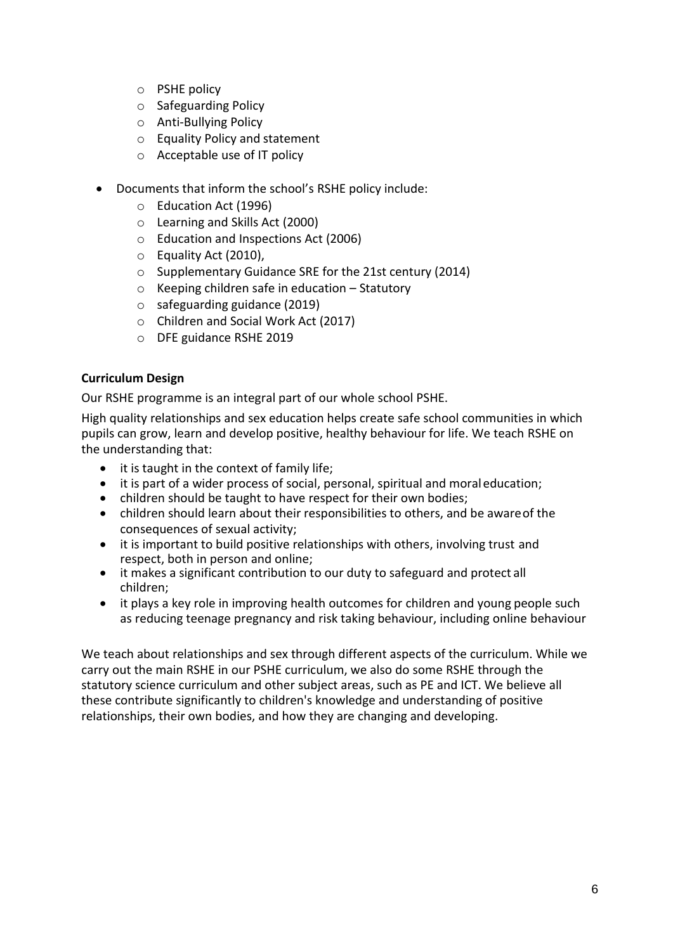- o PSHE policy
- o Safeguarding Policy
- o Anti-Bullying Policy
- o Equality Policy and statement
- o Acceptable use of IT policy
- Documents that inform the school's RSHE policy include:
	- o Education Act (1996)
	- o Learning and Skills Act (2000)
	- o Education and Inspections Act (2006)
	- o Equality Act (2010),
	- o Supplementary Guidance SRE for the 21st century (2014)
	- o Keeping children safe in education Statutory
	- o safeguarding guidance (2019)
	- o Children and Social Work Act (2017)
	- o DFE guidance RSHE 2019

#### **Curriculum Design**

Our RSHE programme is an integral part of our whole school PSHE.

High quality relationships and sex education helps create safe school communities in which pupils can grow, learn and develop positive, healthy behaviour for life. We teach RSHE on the understanding that:

- it is taught in the context of family life;
- it is part of a wider process of social, personal, spiritual and moraleducation;
- children should be taught to have respect for their own bodies;
- children should learn about their responsibilities to others, and be awareof the consequences of sexual activity;
- it is important to build positive relationships with others, involving trust and respect, both in person and online;
- it makes a significant contribution to our duty to safeguard and protect all children;
- it plays a key role in improving health outcomes for children and young people such as reducing teenage pregnancy and risk taking behaviour, including online behaviour

We teach about relationships and sex through different aspects of the curriculum. While we carry out the main RSHE in our PSHE curriculum, we also do some RSHE through the statutory science curriculum and other subject areas, such as PE and ICT. We believe all these contribute significantly to children's knowledge and understanding of positive relationships, their own bodies, and how they are changing and developing.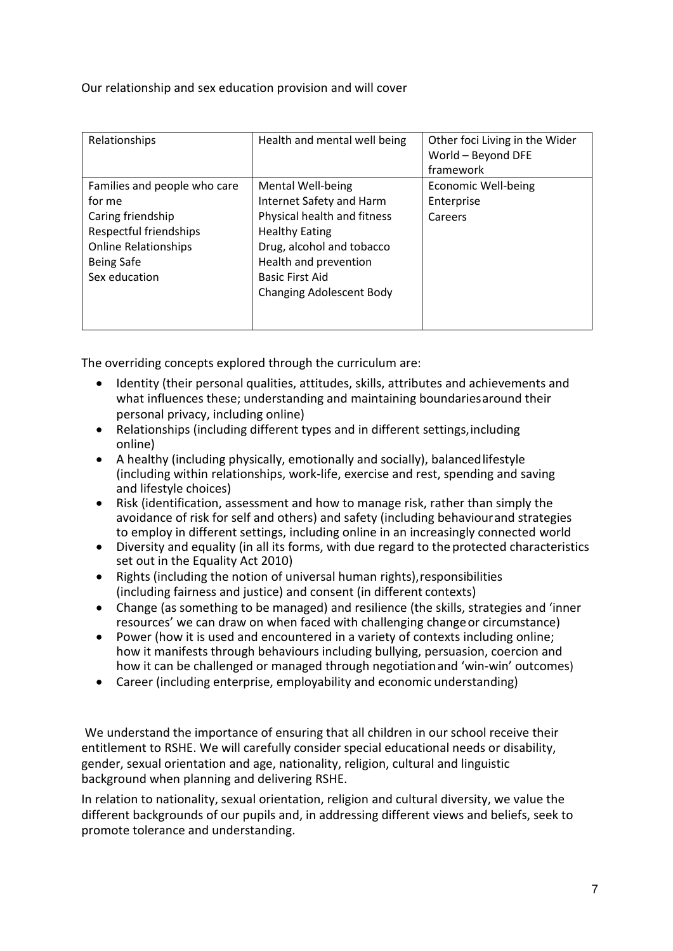Our relationship and sex education provision and will cover

| Relationships                                                                                                                                              | Health and mental well being                                                                                                                                                                                             | Other foci Living in the Wider<br>World - Beyond DFE<br>framework |
|------------------------------------------------------------------------------------------------------------------------------------------------------------|--------------------------------------------------------------------------------------------------------------------------------------------------------------------------------------------------------------------------|-------------------------------------------------------------------|
| Families and people who care<br>for me<br>Caring friendship<br>Respectful friendships<br><b>Online Relationships</b><br><b>Being Safe</b><br>Sex education | Mental Well-being<br>Internet Safety and Harm<br>Physical health and fitness<br><b>Healthy Eating</b><br>Drug, alcohol and tobacco<br>Health and prevention<br><b>Basic First Aid</b><br><b>Changing Adolescent Body</b> | Economic Well-being<br>Enterprise<br>Careers                      |

The overriding concepts explored through the curriculum are:

- Identity (their personal qualities, attitudes, skills, attributes and achievements and what influences these; understanding and maintaining boundariesaround their personal privacy, including online)
- Relationships (including different types and in different settings,including online)
- A healthy (including physically, emotionally and socially), balancedlifestyle (including within relationships, work-life, exercise and rest, spending and saving and lifestyle choices)
- Risk (identification, assessment and how to manage risk, rather than simply the avoidance of risk for self and others) and safety (including behaviourand strategies to employ in different settings, including online in an increasingly connected world
- Diversity and equality (in all its forms, with due regard to the protected characteristics set out in the Equality Act 2010)
- Rights (including the notion of universal human rights),responsibilities (including fairness and justice) and consent (in different contexts)
- Change (as something to be managed) and resilience (the skills, strategies and 'inner resources' we can draw on when faced with challenging changeor circumstance)
- Power (how it is used and encountered in a variety of contexts including online; how it manifests through behaviours including bullying, persuasion, coercion and how it can be challenged or managed through negotiationand 'win-win' outcomes)
- Career (including enterprise, employability and economic understanding)

We understand the importance of ensuring that all children in our school receive their entitlement to RSHE. We will carefully consider special educational needs or disability, gender, sexual orientation and age, nationality, religion, cultural and linguistic background when planning and delivering RSHE.

In relation to nationality, sexual orientation, religion and cultural diversity, we value the different backgrounds of our pupils and, in addressing different views and beliefs, seek to promote tolerance and understanding.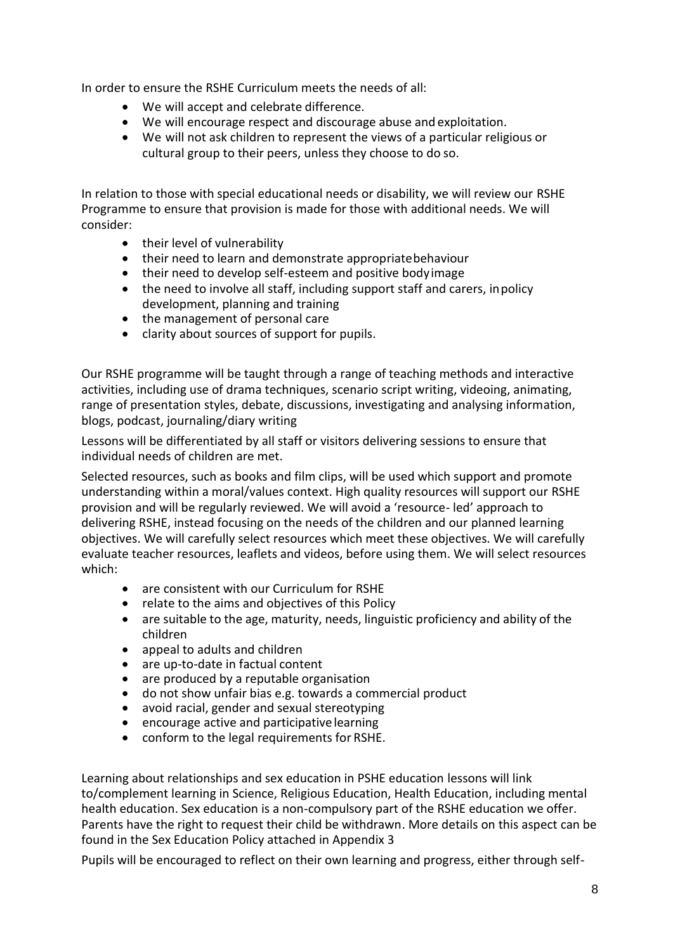In order to ensure the RSHE Curriculum meets the needs of all:

- We will accept and celebrate difference.
- We will encourage respect and discourage abuse and exploitation.
- We will not ask children to represent the views of a particular religious or cultural group to their peers, unless they choose to do so.

In relation to those with special educational needs or disability, we will review our RSHE Programme to ensure that provision is made for those with additional needs. We will consider:

- their level of vulnerability
- their need to learn and demonstrate appropriatebehaviour
- their need to develop self-esteem and positive bodyimage
- the need to involve all staff, including support staff and carers, inpolicy development, planning and training
- the management of personal care
- clarity about sources of support for pupils.

Our RSHE programme will be taught through a range of teaching methods and interactive activities, including use of drama techniques, scenario script writing, videoing, animating, range of presentation styles, debate, discussions, investigating and analysing information, blogs, podcast, journaling/diary writing

Lessons will be differentiated by all staff or visitors delivering sessions to ensure that individual needs of children are met.

Selected resources, such as books and film clips, will be used which support and promote understanding within a moral/values context. High quality resources will support our RSHE provision and will be regularly reviewed. We will avoid a 'resource- led' approach to delivering RSHE, instead focusing on the needs of the children and our planned learning objectives. We will carefully select resources which meet these objectives. We will carefully evaluate teacher resources, leaflets and videos, before using them. We will select resources which:

- are consistent with our Curriculum for RSHE
- relate to the aims and objectives of this Policy
- are suitable to the age, maturity, needs, linguistic proficiency and ability of the children
- appeal to adults and children<br>• are un-to-date in factual conte
- are up-to-date in factual content
- are produced by a reputable organisation
- do not show unfair bias e.g. towards a commercial product
- avoid racial, gender and sexual stereotyping
- encourage active and participative learning
- conform to the legal requirements for RSHE.

Learning about relationships and sex education in PSHE education lessons will link to/complement learning in Science, Religious Education, Health Education, including mental health education. Sex education is a non-compulsory part of the RSHE education we offer. Parents have the right to request their child be withdrawn. More details on this aspect can be found in the Sex Education Policy attached in Appendix 3

Pupils will be encouraged to reflect on their own learning and progress, either through self-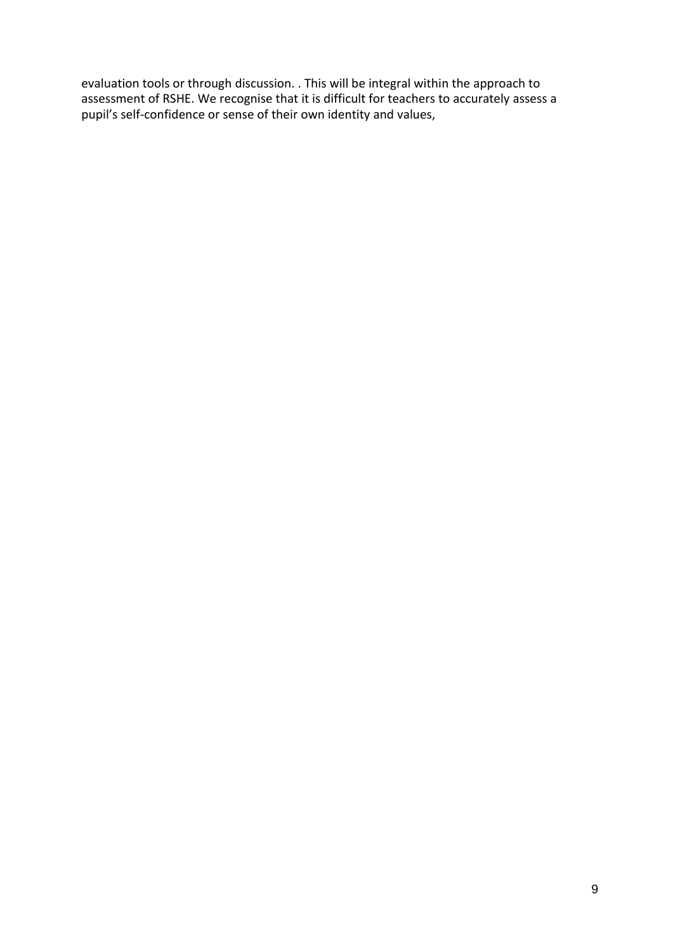evaluation tools or through discussion. . This will be integral within the approach to assessment of RSHE. We recognise that it is difficult for teachers to accurately assess a pupil's self-confidence or sense of their own identity and values,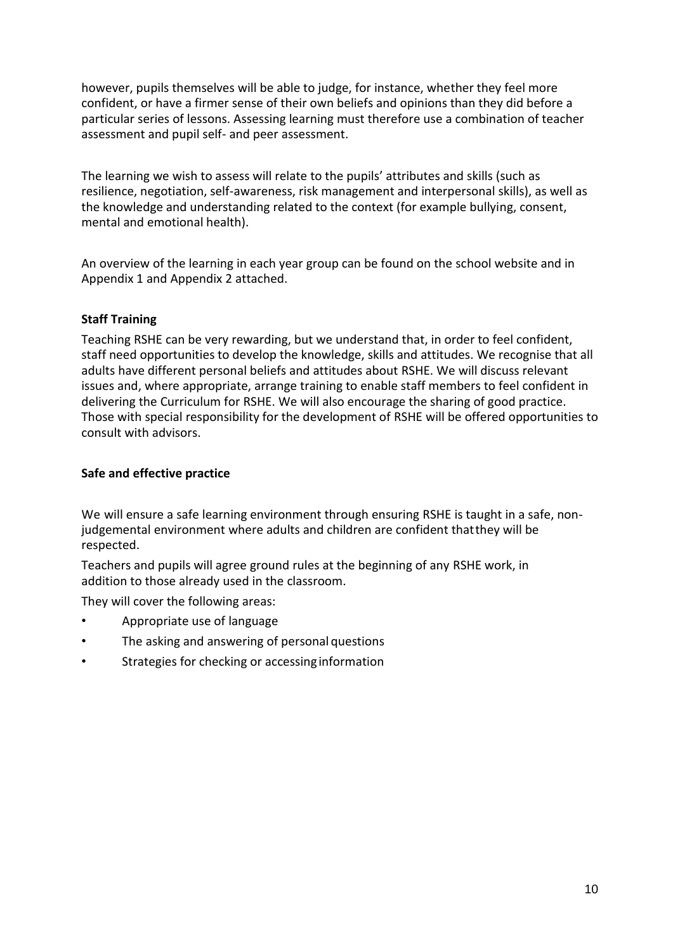however, pupils themselves will be able to judge, for instance, whether they feel more confident, or have a firmer sense of their own beliefs and opinions than they did before a particular series of lessons. Assessing learning must therefore use a combination of teacher assessment and pupil self- and peer assessment.

The learning we wish to assess will relate to the pupils' attributes and skills (such as resilience, negotiation, self-awareness, risk management and interpersonal skills), as well as the knowledge and understanding related to the context (for example bullying, consent, mental and emotional health).

An overview of the learning in each year group can be found on the school website and in Appendix 1 and Appendix 2 attached.

#### **Staff Training**

Teaching RSHE can be very rewarding, but we understand that, in order to feel confident, staff need opportunities to develop the knowledge, skills and attitudes. We recognise that all adults have different personal beliefs and attitudes about RSHE. We will discuss relevant issues and, where appropriate, arrange training to enable staff members to feel confident in delivering the Curriculum for RSHE. We will also encourage the sharing of good practice. Those with special responsibility for the development of RSHE will be offered opportunities to consult with advisors.

#### **Safe and effective practice**

We will ensure a safe learning environment through ensuring RSHE is taught in a safe, nonjudgemental environment where adults and children are confident thatthey will be respected.

Teachers and pupils will agree ground rules at the beginning of any RSHE work, in addition to those already used in the classroom.

They will cover the following areas:

- Appropriate use of language
- The asking and answering of personal questions
- Strategies for checking or accessing information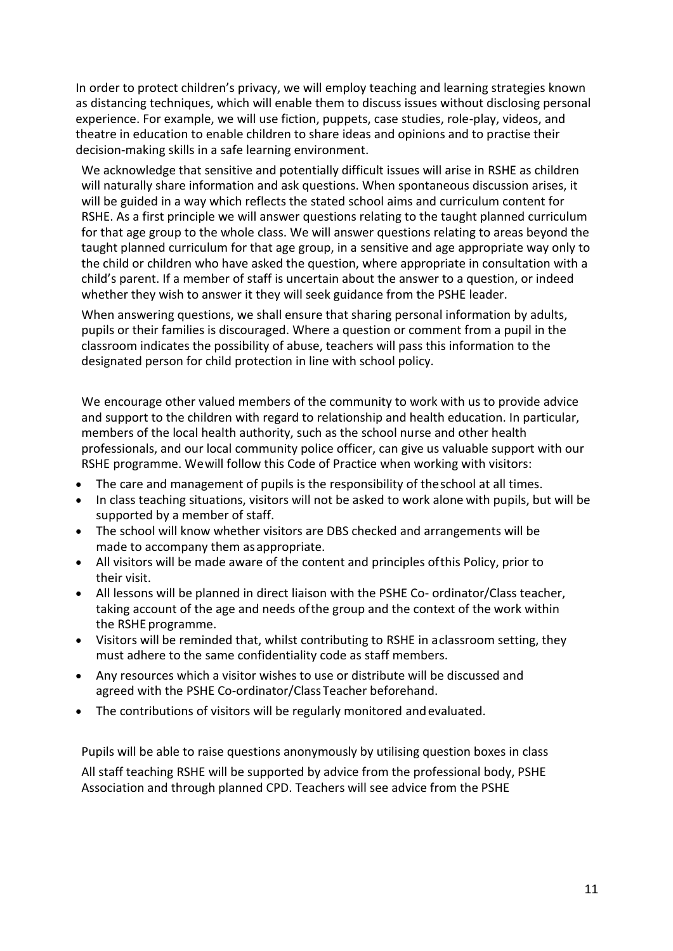In order to protect children's privacy, we will employ teaching and learning strategies known as distancing techniques, which will enable them to discuss issues without disclosing personal experience. For example, we will use fiction, puppets, case studies, role-play, videos, and theatre in education to enable children to share ideas and opinions and to practise their decision-making skills in a safe learning environment.

We acknowledge that sensitive and potentially difficult issues will arise in RSHE as children will naturally share information and ask questions. When spontaneous discussion arises, it will be guided in a way which reflects the stated school aims and curriculum content for RSHE. As a first principle we will answer questions relating to the taught planned curriculum for that age group to the whole class. We will answer questions relating to areas beyond the taught planned curriculum for that age group, in a sensitive and age appropriate way only to the child or children who have asked the question, where appropriate in consultation with a child's parent. If a member of staff is uncertain about the answer to a question, or indeed whether they wish to answer it they will seek guidance from the PSHE leader.

When answering questions, we shall ensure that sharing personal information by adults, pupils or their families is discouraged. Where a question or comment from a pupil in the classroom indicates the possibility of abuse, teachers will pass this information to the designated person for child protection in line with school policy.

We encourage other valued members of the community to work with us to provide advice and support to the children with regard to relationship and health education. In particular, members of the local health authority, such as the school nurse and other health professionals, and our local community police officer, can give us valuable support with our RSHE programme. Wewill follow this Code of Practice when working with visitors:

- The care and management of pupils is the responsibility of theschool at all times.
- In class teaching situations, visitors will not be asked to work alone with pupils, but will be supported by a member of staff.
- The school will know whether visitors are DBS checked and arrangements will be made to accompany them asappropriate.
- All visitors will be made aware of the content and principles ofthis Policy, prior to their visit.
- All lessons will be planned in direct liaison with the PSHE Co- ordinator/Class teacher, taking account of the age and needs ofthe group and the context of the work within the RSHE programme.
- Visitors will be reminded that, whilst contributing to RSHE in aclassroom setting, they must adhere to the same confidentiality code as staff members.
- Any resources which a visitor wishes to use or distribute will be discussed and agreed with the PSHE Co-ordinator/Class Teacher beforehand.
- The contributions of visitors will be regularly monitored andevaluated.

Pupils will be able to raise questions anonymously by utilising question boxes in class All staff teaching RSHE will be supported by advice from the professional body, PSHE Association and through planned CPD. Teachers will see advice from the PSHE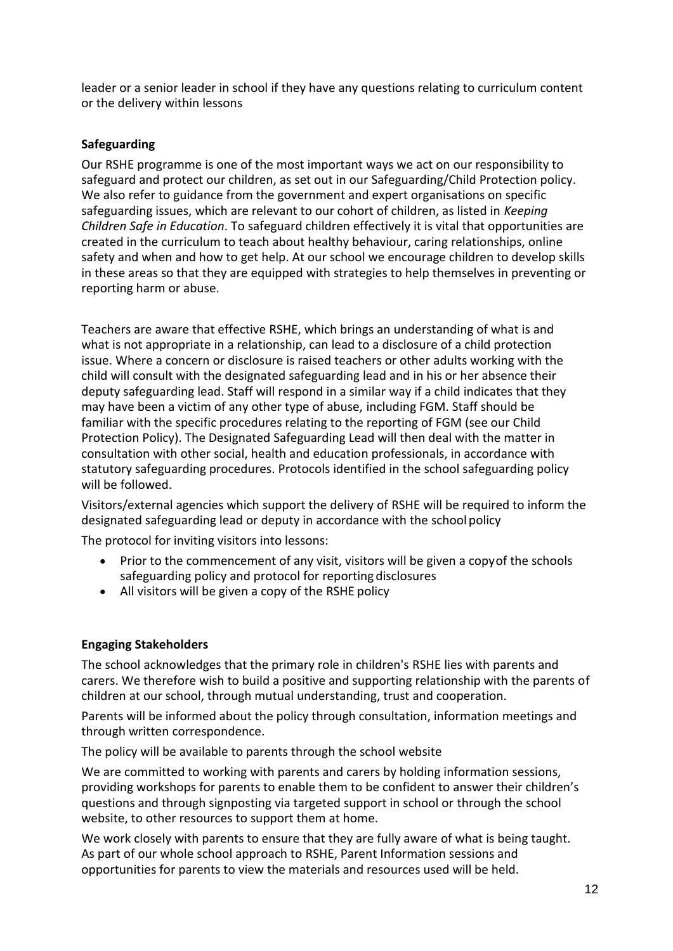leader or a senior leader in school if they have any questions relating to curriculum content or the delivery within lessons

#### **Safeguarding**

Our RSHE programme is one of the most important ways we act on our responsibility to safeguard and protect our children, as set out in our Safeguarding/Child Protection policy. We also refer to guidance from the government and expert organisations on specific safeguarding issues, which are relevant to our cohort of children, as listed in *Keeping Children Safe in Education*. To safeguard children effectively it is vital that opportunities are created in the curriculum to teach about healthy behaviour, caring relationships, online safety and when and how to get help. At our school we encourage children to develop skills in these areas so that they are equipped with strategies to help themselves in preventing or reporting harm or abuse.

Teachers are aware that effective RSHE, which brings an understanding of what is and what is not appropriate in a relationship, can lead to a disclosure of a child protection issue. Where a concern or disclosure is raised teachers or other adults working with the child will consult with the designated safeguarding lead and in his or her absence their deputy safeguarding lead. Staff will respond in a similar way if a child indicates that they may have been a victim of any other type of abuse, including FGM. Staff should be familiar with the specific procedures relating to the reporting of FGM (see our Child Protection Policy). The Designated Safeguarding Lead will then deal with the matter in consultation with other social, health and education professionals, in accordance with statutory safeguarding procedures. Protocols identified in the school safeguarding policy will be followed.

Visitors/external agencies which support the delivery of RSHE will be required to inform the designated safeguarding lead or deputy in accordance with the school policy

The protocol for inviting visitors into lessons:

- Prior to the commencement of any visit, visitors will be given a copy of the schools safeguarding policy and protocol for reporting disclosures
- All visitors will be given a copy of the RSHE policy

#### **Engaging Stakeholders**

The school acknowledges that the primary role in children's RSHE lies with parents and carers. We therefore wish to build a positive and supporting relationship with the parents of children at our school, through mutual understanding, trust and cooperation.

Parents will be informed about the policy through consultation, information meetings and through written correspondence.

The policy will be available to parents through the school website

We are committed to working with parents and carers by holding information sessions, providing workshops for parents to enable them to be confident to answer their children's questions and through signposting via targeted support in school or through the school website, to other resources to support them at home.

We work closely with parents to ensure that they are fully aware of what is being taught. As part of our whole school approach to RSHE, Parent Information sessions and opportunities for parents to view the materials and resources used will be held.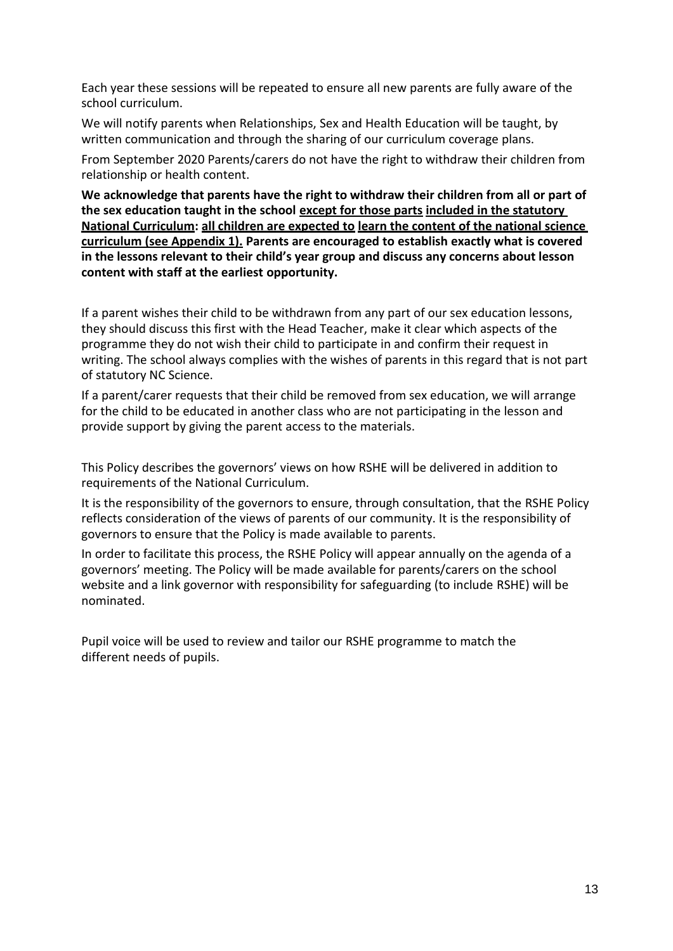Each year these sessions will be repeated to ensure all new parents are fully aware of the school curriculum.

We will notify parents when Relationships, Sex and Health Education will be taught, by written communication and through the sharing of our curriculum coverage plans.

From September 2020 Parents/carers do not have the right to withdraw their children from relationship or health content.

**We acknowledge that parents have the right to withdraw their children from all or part of the sex education taught in the school except for those parts included in the statutory National Curriculum: all children are expected to learn the content of the national science curriculum (see Appendix 1). Parents are encouraged to establish exactly what is covered in the lessons relevant to their child's year group and discuss any concerns about lesson content with staff at the earliest opportunity.**

If a parent wishes their child to be withdrawn from any part of our sex education lessons, they should discuss this first with the Head Teacher, make it clear which aspects of the programme they do not wish their child to participate in and confirm their request in writing. The school always complies with the wishes of parents in this regard that is not part of statutory NC Science.

If a parent/carer requests that their child be removed from sex education, we will arrange for the child to be educated in another class who are not participating in the lesson and provide support by giving the parent access to the materials.

This Policy describes the governors' views on how RSHE will be delivered in addition to requirements of the National Curriculum.

It is the responsibility of the governors to ensure, through consultation, that the RSHE Policy reflects consideration of the views of parents of our community. It is the responsibility of governors to ensure that the Policy is made available to parents.

In order to facilitate this process, the RSHE Policy will appear annually on the agenda of a governors' meeting. The Policy will be made available for parents/carers on the school website and a link governor with responsibility for safeguarding (to include RSHE) will be nominated.

Pupil voice will be used to review and tailor our RSHE programme to match the different needs of pupils.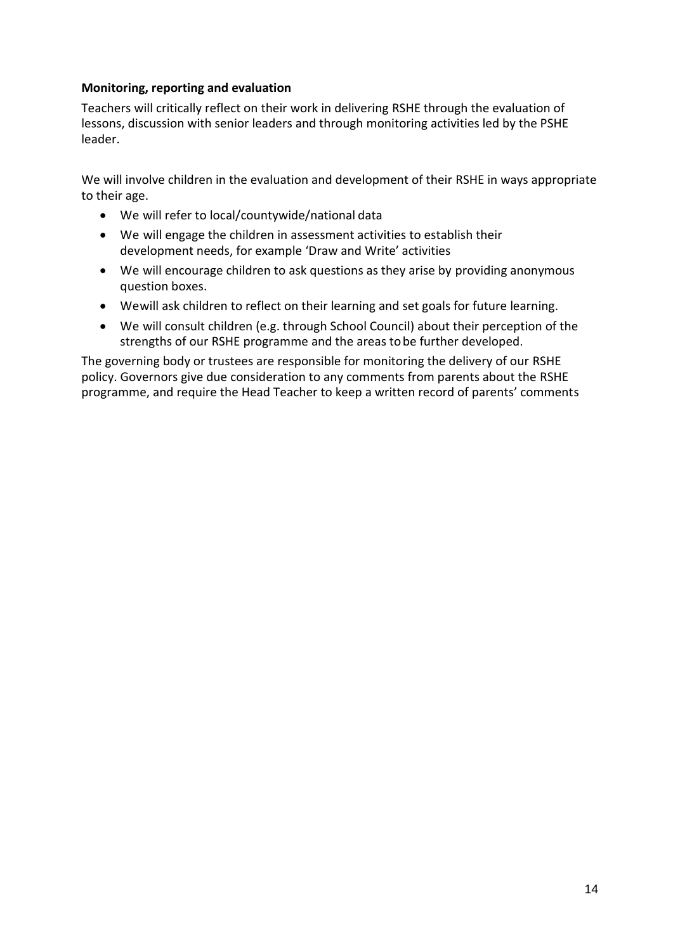#### **Monitoring, reporting and evaluation**

Teachers will critically reflect on their work in delivering RSHE through the evaluation of lessons, discussion with senior leaders and through monitoring activities led by the PSHE leader.

We will involve children in the evaluation and development of their RSHE in ways appropriate to their age.

- We will refer to local/countywide/national data
- We will engage the children in assessment activities to establish their development needs, for example 'Draw and Write' activities
- We will encourage children to ask questions as they arise by providing anonymous question boxes.
- Wewill ask children to reflect on their learning and set goals for future learning.
- We will consult children (e.g. through School Council) about their perception of the strengths of our RSHE programme and the areas tobe further developed.

The governing body or trustees are responsible for monitoring the delivery of our RSHE policy. Governors give due consideration to any comments from parents about the RSHE programme, and require the Head Teacher to keep a written record of parents' comments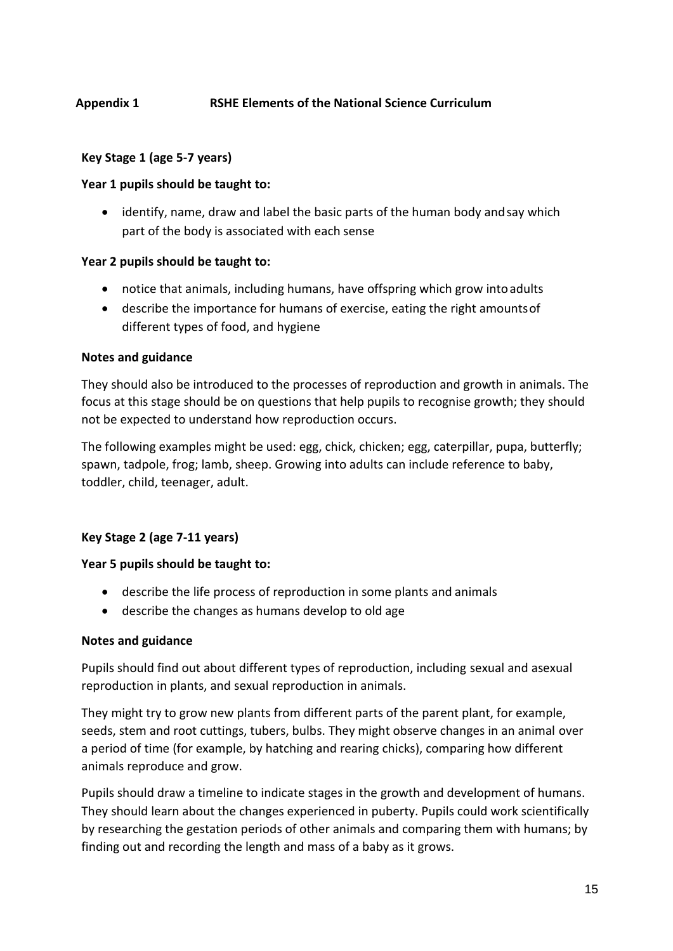#### **Appendix 1 RSHE Elements of the National Science Curriculum**

#### **Key Stage 1 (age 5-7 years)**

#### **Year 1 pupils should be taught to:**

• identify, name, draw and label the basic parts of the human body and say which part of the body is associated with each sense

#### **Year 2 pupils should be taught to:**

- notice that animals, including humans, have offspring which grow intoadults
- describe the importance for humans of exercise, eating the right amountsof different types of food, and hygiene

#### **Notes and guidance**

They should also be introduced to the processes of reproduction and growth in animals. The focus at this stage should be on questions that help pupils to recognise growth; they should not be expected to understand how reproduction occurs.

The following examples might be used: egg, chick, chicken; egg, caterpillar, pupa, butterfly; spawn, tadpole, frog; lamb, sheep. Growing into adults can include reference to baby, toddler, child, teenager, adult.

#### **Key Stage 2 (age 7-11 years)**

#### **Year 5 pupils should be taught to:**

- describe the life process of reproduction in some plants and animals
- describe the changes as humans develop to old age

#### **Notes and guidance**

Pupils should find out about different types of reproduction, including sexual and asexual reproduction in plants, and sexual reproduction in animals.

They might try to grow new plants from different parts of the parent plant, for example, seeds, stem and root cuttings, tubers, bulbs. They might observe changes in an animal over a period of time (for example, by hatching and rearing chicks), comparing how different animals reproduce and grow.

Pupils should draw a timeline to indicate stages in the growth and development of humans. They should learn about the changes experienced in puberty. Pupils could work scientifically by researching the gestation periods of other animals and comparing them with humans; by finding out and recording the length and mass of a baby as it grows.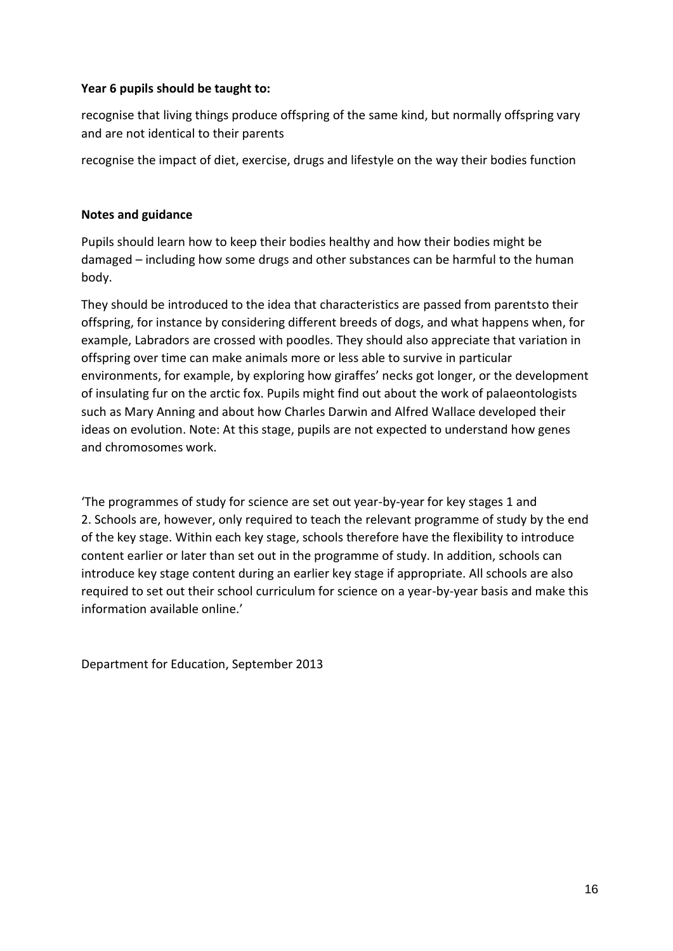#### **Year 6 pupils should be taught to:**

recognise that living things produce offspring of the same kind, but normally offspring vary and are not identical to their parents

recognise the impact of diet, exercise, drugs and lifestyle on the way their bodies function

#### **Notes and guidance**

Pupils should learn how to keep their bodies healthy and how their bodies might be damaged – including how some drugs and other substances can be harmful to the human body.

They should be introduced to the idea that characteristics are passed from parentsto their offspring, for instance by considering different breeds of dogs, and what happens when, for example, Labradors are crossed with poodles. They should also appreciate that variation in offspring over time can make animals more or less able to survive in particular environments, for example, by exploring how giraffes' necks got longer, or the development of insulating fur on the arctic fox. Pupils might find out about the work of palaeontologists such as Mary Anning and about how Charles Darwin and Alfred Wallace developed their ideas on evolution. Note: At this stage, pupils are not expected to understand how genes and chromosomes work.

'The programmes of study for science are set out year-by-year for key stages 1 and 2. Schools are, however, only required to teach the relevant programme of study by the end of the key stage. Within each key stage, schools therefore have the flexibility to introduce content earlier or later than set out in the programme of study. In addition, schools can introduce key stage content during an earlier key stage if appropriate. All schools are also required to set out their school curriculum for science on a year-by-year basis and make this information available online.'

Department for Education, September 2013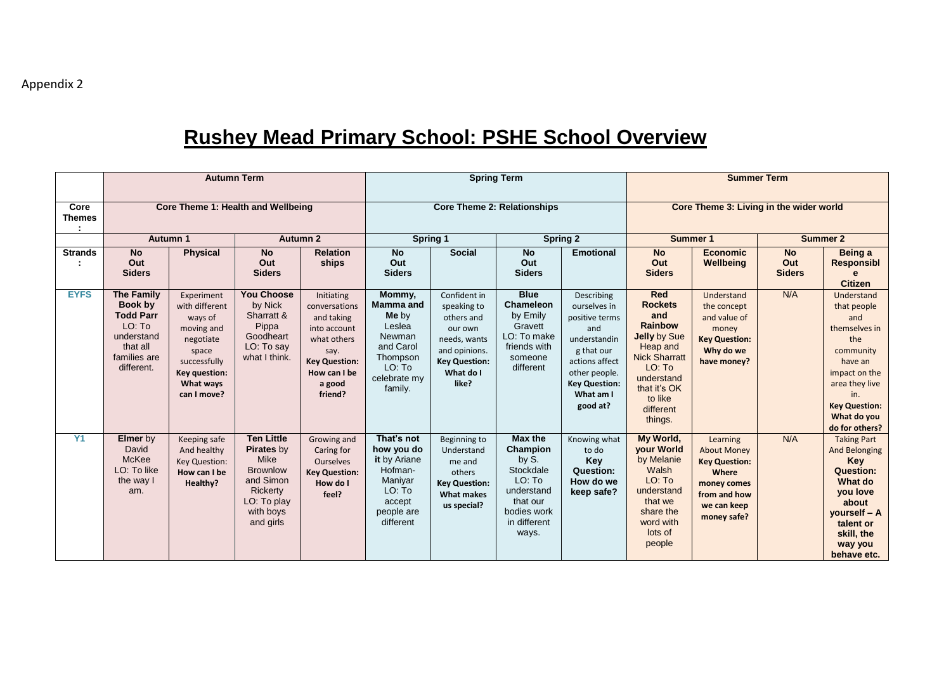## **Rushey Mead Primary School: PSHE School Overview**

|                            | <b>Autumn Term</b>                                                                                                 |                                                                                                                                          |                                                                                                                                            |                                                                                                                                               | <b>Spring Term</b>                                                                                                    |                                                                                                                                     |                                                                                                                       | <b>Summer Term</b>                                                                                                                                                    |                                                                                                                                                                                      |                                                                                                                              |                                   |                                                                                                                                                                                     |
|----------------------------|--------------------------------------------------------------------------------------------------------------------|------------------------------------------------------------------------------------------------------------------------------------------|--------------------------------------------------------------------------------------------------------------------------------------------|-----------------------------------------------------------------------------------------------------------------------------------------------|-----------------------------------------------------------------------------------------------------------------------|-------------------------------------------------------------------------------------------------------------------------------------|-----------------------------------------------------------------------------------------------------------------------|-----------------------------------------------------------------------------------------------------------------------------------------------------------------------|--------------------------------------------------------------------------------------------------------------------------------------------------------------------------------------|------------------------------------------------------------------------------------------------------------------------------|-----------------------------------|-------------------------------------------------------------------------------------------------------------------------------------------------------------------------------------|
| Core<br><b>Themes</b><br>÷ |                                                                                                                    |                                                                                                                                          | Core Theme 1: Health and Wellbeing                                                                                                         |                                                                                                                                               |                                                                                                                       |                                                                                                                                     | <b>Core Theme 2: Relationships</b>                                                                                    |                                                                                                                                                                       | Core Theme 3: Living in the wider world                                                                                                                                              |                                                                                                                              |                                   |                                                                                                                                                                                     |
|                            |                                                                                                                    | Autumn 1                                                                                                                                 |                                                                                                                                            | Autumn 2                                                                                                                                      | Spring 1<br><b>Spring 2</b>                                                                                           |                                                                                                                                     |                                                                                                                       | Summer 1                                                                                                                                                              |                                                                                                                                                                                      |                                                                                                                              | <b>Summer 2</b>                   |                                                                                                                                                                                     |
| <b>Strands</b>             | <b>No</b><br>Out<br><b>Siders</b>                                                                                  | <b>Physical</b>                                                                                                                          | <b>No</b><br>Out<br><b>Siders</b>                                                                                                          | <b>Relation</b><br>ships                                                                                                                      | <b>No</b><br>Out<br><b>Siders</b>                                                                                     | <b>Social</b>                                                                                                                       | <b>No</b><br>Out<br><b>Siders</b>                                                                                     | <b>Emotional</b>                                                                                                                                                      | <b>No</b><br>Out<br><b>Siders</b>                                                                                                                                                    | <b>Economic</b><br>Wellbeing                                                                                                 | <b>No</b><br>Out<br><b>Siders</b> | Being a<br><b>Responsibl</b><br><b>Citizen</b>                                                                                                                                      |
| <b>EYFS</b>                | <b>The Family</b><br>Book by<br><b>Todd Parr</b><br>LO: To<br>understand<br>that all<br>families are<br>different. | Experiment<br>with different<br>ways of<br>moving and<br>negotiate<br>space<br>successfully<br>Key question:<br>What ways<br>can I move? | <b>You Choose</b><br>by Nick<br>Sharratt &<br>Pippa<br>Goodheart<br>LO: To say<br>what I think.                                            | Initiating<br>conversations<br>and taking<br>into account<br>what others<br>say.<br><b>Key Question:</b><br>How can I be<br>a good<br>friend? | Mommy,<br><b>Mamma and</b><br>Me by<br>Leslea<br>Newman<br>and Carol<br>Thompson<br>LO: To<br>celebrate my<br>family. | Confident in<br>speaking to<br>others and<br>our own<br>needs, wants<br>and opinions.<br><b>Key Question:</b><br>What do I<br>like? | <b>Blue</b><br>Chameleon<br>by Emily<br>Gravett<br>LO: To make<br>friends with<br>someone<br>different                | Describing<br>ourselves in<br>positive terms<br>and<br>understandin<br>g that our<br>actions affect<br>other people.<br><b>Key Question:</b><br>What am I<br>good at? | <b>Red</b><br><b>Rockets</b><br>and<br><b>Rainbow</b><br>Jelly by Sue<br>Heap and<br><b>Nick Sharratt</b><br>LO: To<br>understand<br>that it's OK<br>to like<br>different<br>things. | Understand<br>the concept<br>and value of<br>money<br><b>Key Question:</b><br>Why do we<br>have money?                       | N/A                               | Understand<br>that people<br>and<br>themselves in<br>the<br>community<br>have an<br>impact on the<br>area they live<br>in.<br><b>Key Question:</b><br>What do you<br>do for others? |
| Y1                         | <b>Elmer</b> by<br>David<br>McKee<br>LO: To like<br>the way I<br>am.                                               | Keeping safe<br>And healthy<br><b>Key Question:</b><br>How can I be<br>Healthy?                                                          | <b>Ten Little</b><br><b>Pirates by</b><br><b>Mike</b><br><b>Brownlow</b><br>and Simon<br>Rickerty<br>LO: To play<br>with boys<br>and girls | Growing and<br>Caring for<br><b>Ourselves</b><br><b>Key Question:</b><br>How do I<br>feel?                                                    | That's not<br>how you do<br>it by Ariane<br>Hofman-<br>Maniyar<br>LO: To<br>accept<br>people are<br>different         | Beginning to<br>Understand<br>me and<br>others<br><b>Key Question:</b><br><b>What makes</b><br>us special?                          | Max the<br>Champion<br>by S.<br>Stockdale<br>LO: To<br>understand<br>that our<br>bodies work<br>in different<br>ways. | Knowing what<br>to do<br>Key<br>Question:<br>How do we<br>keep safe?                                                                                                  | My World,<br><b>your World</b><br>by Melanie<br>Walsh<br>LO: To<br>understand<br>that we<br>share the<br>word with<br>lots of<br>people                                              | Learning<br><b>About Money</b><br><b>Key Question:</b><br>Where<br>money comes<br>from and how<br>we can keep<br>money safe? | N/A                               | <b>Taking Part</b><br><b>And Belonging</b><br><b>Key</b><br>Question:<br>What do<br>you love<br>about<br>yourself - A<br>talent or<br>skill, the<br>way you<br>behave etc.          |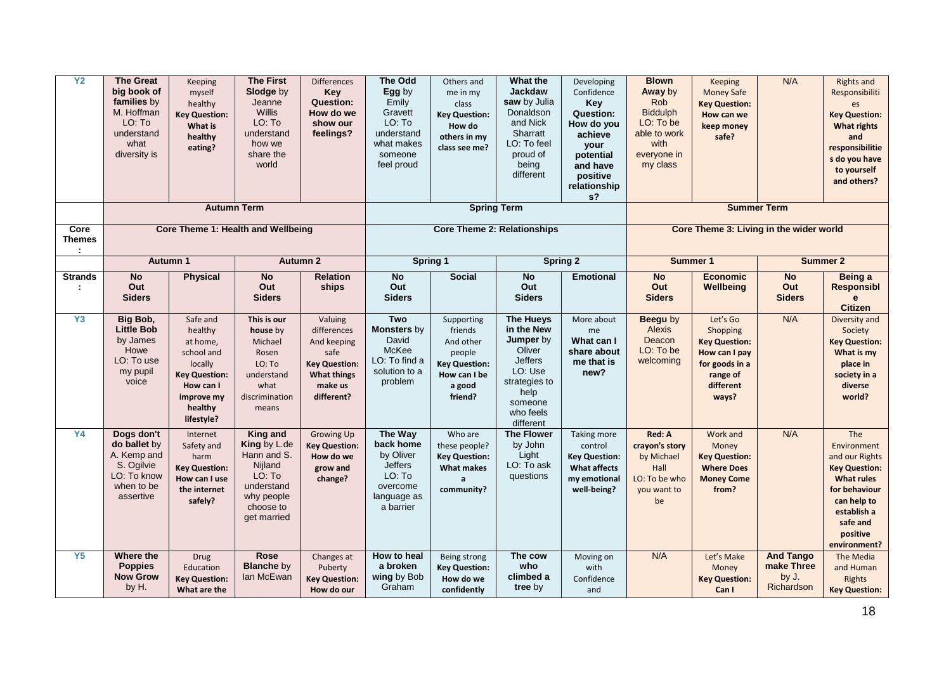| Y <sub>2</sub>                            | <b>The Great</b><br>big book of<br>families by<br>M. Hoffman<br>LO: To<br>understand<br>what<br>diversity is | Keeping<br>myself<br>healthy<br><b>Key Question:</b><br>What is<br>healthy<br>eating?                                                | <b>The First</b><br>Slodge by<br>Jeanne<br><b>Willis</b><br>LO: To<br>understand<br>how we<br>share the<br>world<br><b>Autumn Term</b> | <b>Differences</b><br>Key<br><b>Question:</b><br>How do we<br>show our<br>feelings?                                  | <b>The Odd</b><br>Egg by<br>Emily<br>Gravett<br>LO: To<br>understand<br>what makes<br>someone<br>feel proud | Others and<br>me in my<br>class<br><b>Key Question:</b><br>How do<br>others in my<br>class see me?<br><b>Spring Term</b> | What the<br><b>Jackdaw</b><br>saw by Julia<br>Donaldson<br>and Nick<br>Sharratt<br>LO: To feel<br>proud of<br>being<br>different                 | Developing<br>Confidence<br>Key<br><b>Question:</b><br>How do you<br>achieve<br>your<br>potential<br>and have<br>positive<br>relationship<br>$s$ ? | <b>Blown</b><br>Away by<br>Rob<br><b>Biddulph</b><br>LO: To be<br>able to work<br>with<br>everyone in<br>my class | <b>Keeping</b><br><b>Money Safe</b><br><b>Key Question:</b><br>How can we<br>keep money<br>safe?                  | N/A<br><b>Summer Term</b>                             | <b>Rights and</b><br>Responsibiliti<br>es<br><b>Key Question:</b><br><b>What rights</b><br>and<br>responsibilitie<br>s do you have<br>to yourself<br>and others?         |
|-------------------------------------------|--------------------------------------------------------------------------------------------------------------|--------------------------------------------------------------------------------------------------------------------------------------|----------------------------------------------------------------------------------------------------------------------------------------|----------------------------------------------------------------------------------------------------------------------|-------------------------------------------------------------------------------------------------------------|--------------------------------------------------------------------------------------------------------------------------|--------------------------------------------------------------------------------------------------------------------------------------------------|----------------------------------------------------------------------------------------------------------------------------------------------------|-------------------------------------------------------------------------------------------------------------------|-------------------------------------------------------------------------------------------------------------------|-------------------------------------------------------|--------------------------------------------------------------------------------------------------------------------------------------------------------------------------|
| Core                                      |                                                                                                              |                                                                                                                                      | <b>Core Theme 1: Health and Wellbeing</b>                                                                                              |                                                                                                                      |                                                                                                             | <b>Core Theme 2: Relationships</b>                                                                                       |                                                                                                                                                  |                                                                                                                                                    |                                                                                                                   | Core Theme 3: Living in the wider world                                                                           |                                                       |                                                                                                                                                                          |
| <b>Themes</b><br>$\mathcal{I}_\mathrm{c}$ |                                                                                                              |                                                                                                                                      |                                                                                                                                        |                                                                                                                      |                                                                                                             |                                                                                                                          |                                                                                                                                                  |                                                                                                                                                    |                                                                                                                   |                                                                                                                   |                                                       |                                                                                                                                                                          |
|                                           |                                                                                                              | <b>Autumn 1</b>                                                                                                                      |                                                                                                                                        | <b>Autumn 2</b>                                                                                                      |                                                                                                             | Spring 1                                                                                                                 |                                                                                                                                                  | <b>Spring 2</b>                                                                                                                                    | Summer 1                                                                                                          |                                                                                                                   |                                                       | Summer 2                                                                                                                                                                 |
| <b>Strands</b><br>÷                       | $\overline{N}$<br>Out<br><b>Siders</b>                                                                       | <b>Physical</b>                                                                                                                      | <b>No</b><br>Out<br><b>Siders</b>                                                                                                      | <b>Relation</b><br>ships                                                                                             | <b>No</b><br>Out<br><b>Siders</b>                                                                           | <b>Social</b>                                                                                                            | <b>No</b><br>Out<br><b>Siders</b>                                                                                                                | <b>Emotional</b>                                                                                                                                   | <b>No</b><br>Out<br><b>Siders</b>                                                                                 | <b>Economic</b><br>Wellbeing                                                                                      | N <sub>o</sub><br>Out<br><b>Siders</b>                | Being a<br><b>Responsibl</b><br>$\mathbf{e}$<br><b>Citizen</b>                                                                                                           |
| Y3                                        | Big Bob,<br><b>Little Bob</b><br>by James<br>Howe<br>LO: To use<br>my pupil<br>voice                         | Safe and<br>healthy<br>at home,<br>school and<br>locally<br><b>Key Question:</b><br>How can I<br>improve my<br>healthy<br>lifestyle? | This is our<br>house by<br>Michael<br>Rosen<br>LO: To<br>understand<br>what<br>discrimination<br>means                                 | Valuing<br>differences<br>And keeping<br>safe<br><b>Key Question:</b><br><b>What things</b><br>make us<br>different? | Two<br><b>Monsters by</b><br>David<br>McKee<br>LO: To find a<br>solution to a<br>problem                    | Supporting<br>friends<br>And other<br>people<br><b>Key Question:</b><br>How can I be<br>a good<br>friend?                | <b>The Hueys</b><br>in the New<br>Jumper by<br>Oliver<br><b>Jeffers</b><br>LO: Use<br>strategies to<br>help<br>someone<br>who feels<br>different | More about<br>me<br>What can I<br>share about<br>me that is<br>new?                                                                                | Beegu by<br>Alexis<br>Deacon<br>LO: To be<br>welcoming                                                            | Let's Go<br>Shopping<br><b>Key Question:</b><br>How can I pay<br>for goods in a<br>range of<br>different<br>ways? | N/A                                                   | Diversity and<br>Society<br><b>Key Question:</b><br>What is my<br>place in<br>society in a<br>diverse<br>world?                                                          |
| <b>Y4</b>                                 | Dogs don't<br>do ballet by<br>A. Kemp and<br>S. Ogilvie<br>LO: To know<br>when to be<br>assertive            | Internet<br>Safety and<br>harm<br><b>Key Question:</b><br>How can I use<br>the internet<br>safely?                                   | King and<br>King by L.de<br>Hann and S.<br>Nijland<br>LO: To<br>understand<br>why people<br>choose to<br>get married                   | <b>Growing Up</b><br><b>Key Question:</b><br>How do we<br>grow and<br>change?                                        | The Way<br>back home<br>by Oliver<br><b>Jeffers</b><br>LO: To<br>overcome<br>language as<br>a barrier       | Who are<br>these people?<br><b>Key Question:</b><br><b>What makes</b><br>$\mathsf{a}$<br>community?                      | <b>The Flower</b><br>by John<br>Light<br>LO: To ask<br>questions                                                                                 | Taking more<br>control<br><b>Key Question:</b><br><b>What affects</b><br>my emotional<br>well-being?                                               | Red: A<br>crayon's story<br>by Michael<br>Hall<br>LO: To be who<br>you want to<br>be                              | Work and<br>Money<br><b>Key Question:</b><br><b>Where Does</b><br><b>Money Come</b><br>from?                      | N/A                                                   | The<br>Environment<br>and our Rights<br><b>Key Question:</b><br><b>What rules</b><br>for behaviour<br>can help to<br>establish a<br>safe and<br>positive<br>environment? |
| <b>Y5</b>                                 | Where the<br><b>Poppies</b><br><b>Now Grow</b><br>by H.                                                      | <b>Drug</b><br>Education<br><b>Key Question:</b><br>What are the                                                                     | <b>Rose</b><br><b>Blanche by</b><br>lan McEwan                                                                                         | Changes at<br>Puberty<br><b>Key Question:</b><br>How do our                                                          | How to heal<br>a broken<br>wing by Bob<br>Graham                                                            | Being strong<br><b>Key Question:</b><br>How do we<br>confidently                                                         | The cow<br>who<br>climbed a<br>tree by                                                                                                           | Moving on<br>with<br>Confidence<br>and                                                                                                             | N/A                                                                                                               | Let's Make<br>Money<br><b>Key Question:</b><br>Can I                                                              | <b>And Tango</b><br>make Three<br>by J.<br>Richardson | The Media<br>and Human<br><b>Rights</b><br><b>Key Question:</b>                                                                                                          |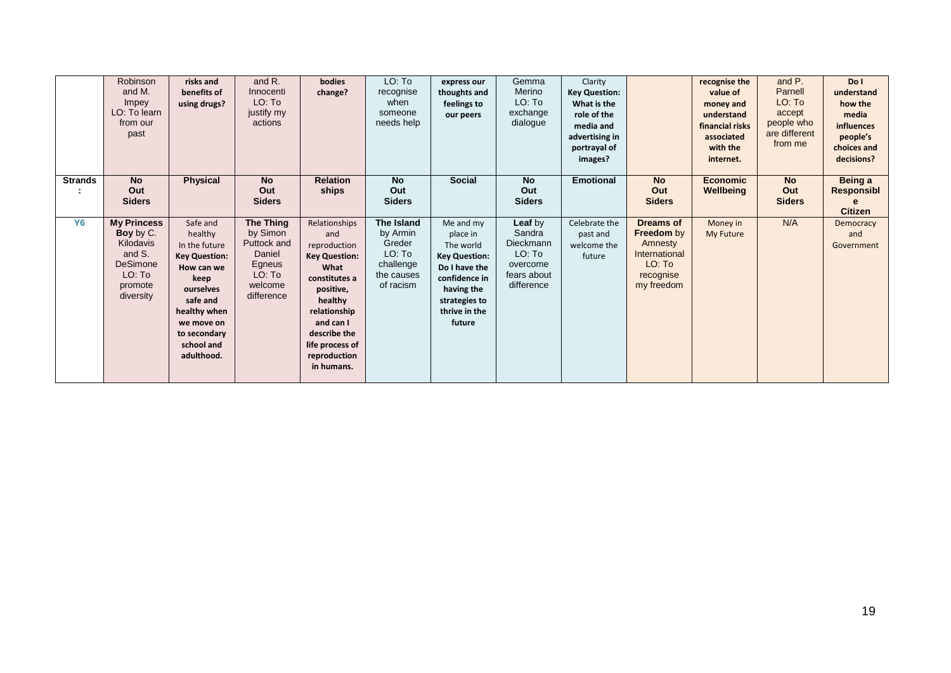|                | Robinson<br>and M.<br>Impey<br>LO: To learn<br>from our<br>past                                             | risks and<br>benefits of<br>using drugs?                                                                                                                                              | and R.<br>Innocenti<br>LO: To<br>justify my<br>actions                                             | bodies<br>change?                                                                                                                                                                                           | LO: To<br>recognise<br>when<br>someone<br>needs help                               | express our<br>thoughts and<br>feelings to<br>our peers                                                                                                | Gemma<br>Merino<br>LO: To<br>exchange<br>dialogue                                 | Clarity<br><b>Key Question:</b><br>What is the<br>role of the<br>media and<br>advertising in<br>portrayal of<br>images? |                                                                                                        | recognise the<br>value of<br>money and<br>understand<br>financial risks<br>associated<br>with the<br>internet. | and P.<br>Parnell<br>LO: To<br>accept<br>people who<br>are different<br>from me | Do I<br>understand<br>how the<br>media<br><b>influences</b><br>people's<br>choices and<br>decisions? |
|----------------|-------------------------------------------------------------------------------------------------------------|---------------------------------------------------------------------------------------------------------------------------------------------------------------------------------------|----------------------------------------------------------------------------------------------------|-------------------------------------------------------------------------------------------------------------------------------------------------------------------------------------------------------------|------------------------------------------------------------------------------------|--------------------------------------------------------------------------------------------------------------------------------------------------------|-----------------------------------------------------------------------------------|-------------------------------------------------------------------------------------------------------------------------|--------------------------------------------------------------------------------------------------------|----------------------------------------------------------------------------------------------------------------|---------------------------------------------------------------------------------|------------------------------------------------------------------------------------------------------|
| <b>Strands</b> | <b>No</b><br>Out<br><b>Siders</b>                                                                           | <b>Physical</b>                                                                                                                                                                       | <b>No</b><br>Out<br><b>Siders</b>                                                                  | <b>Relation</b><br>ships                                                                                                                                                                                    | <b>No</b><br>Out<br><b>Siders</b>                                                  | <b>Social</b>                                                                                                                                          | <b>No</b><br>Out<br><b>Siders</b>                                                 | <b>Emotional</b>                                                                                                        | <b>No</b><br>Out<br><b>Siders</b>                                                                      | <b>Economic</b><br>Wellbeing                                                                                   | <b>No</b><br>Out<br><b>Siders</b>                                               | Being a<br>Responsibl<br><b>Citizen</b>                                                              |
| <b>Y6</b>      | <b>My Princess</b><br>Boy by C.<br>Kilodavis<br>and S.<br><b>DeSimone</b><br>LO: To<br>promote<br>diversity | Safe and<br>healthy<br>In the future<br><b>Key Question:</b><br>How can we<br>keep<br>ourselves<br>safe and<br>healthy when<br>we move on<br>to secondary<br>school and<br>adulthood. | <b>The Thing</b><br>by Simon<br>Puttock and<br>Daniel<br>Egneus<br>LO: To<br>welcome<br>difference | Relationships<br>and<br>reproduction<br><b>Key Question:</b><br>What<br>constitutes a<br>positive,<br>healthy<br>relationship<br>and can I<br>describe the<br>life process of<br>reproduction<br>in humans. | The Island<br>by Armin<br>Greder<br>LO: To<br>challenge<br>the causes<br>of racism | Me and my<br>place in<br>The world<br><b>Key Question:</b><br>Do I have the<br>confidence in<br>having the<br>strategies to<br>thrive in the<br>future | Leaf by<br>Sandra<br>Dieckmann<br>LO: To<br>overcome<br>fears about<br>difference | Celebrate the<br>past and<br>welcome the<br>future                                                                      | <b>Dreams of</b><br><b>Freedom</b> by<br>Amnesty<br>International<br>LO: To<br>recognise<br>my freedom | Money in<br>My Future                                                                                          | N/A                                                                             | Democracy<br>and<br>Government                                                                       |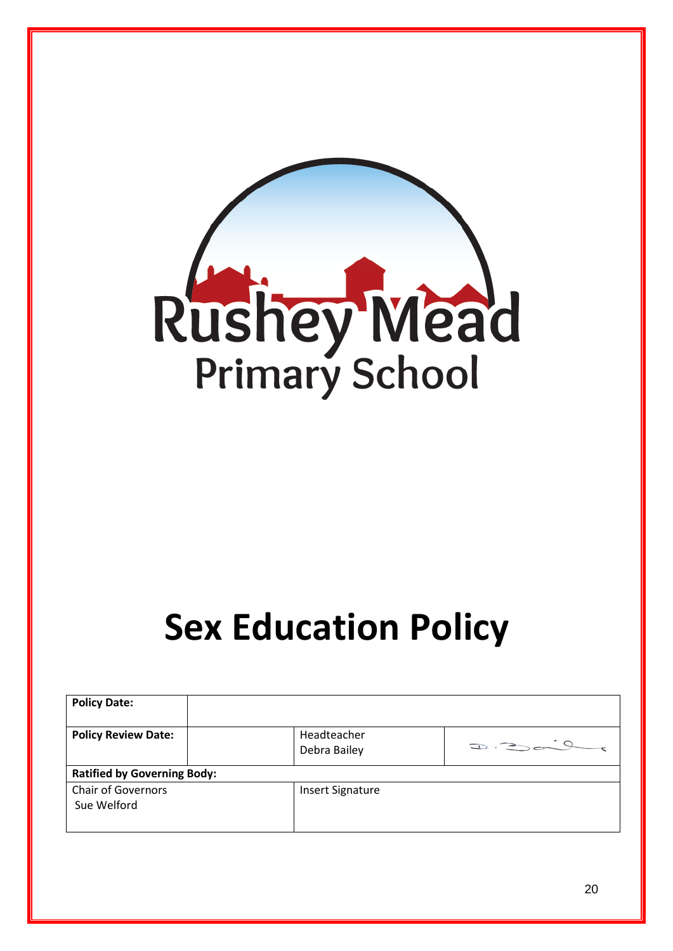

# **Sex Education Policy**

| <b>Policy Date:</b>                      |                             |                             |
|------------------------------------------|-----------------------------|-----------------------------|
| <b>Policy Review Date:</b>               | Headteacher<br>Debra Bailey | $\Rightarrow$ $\Rightarrow$ |
| <b>Ratified by Governing Body:</b>       |                             |                             |
| <b>Chair of Governors</b><br>Sue Welford | <b>Insert Signature</b>     |                             |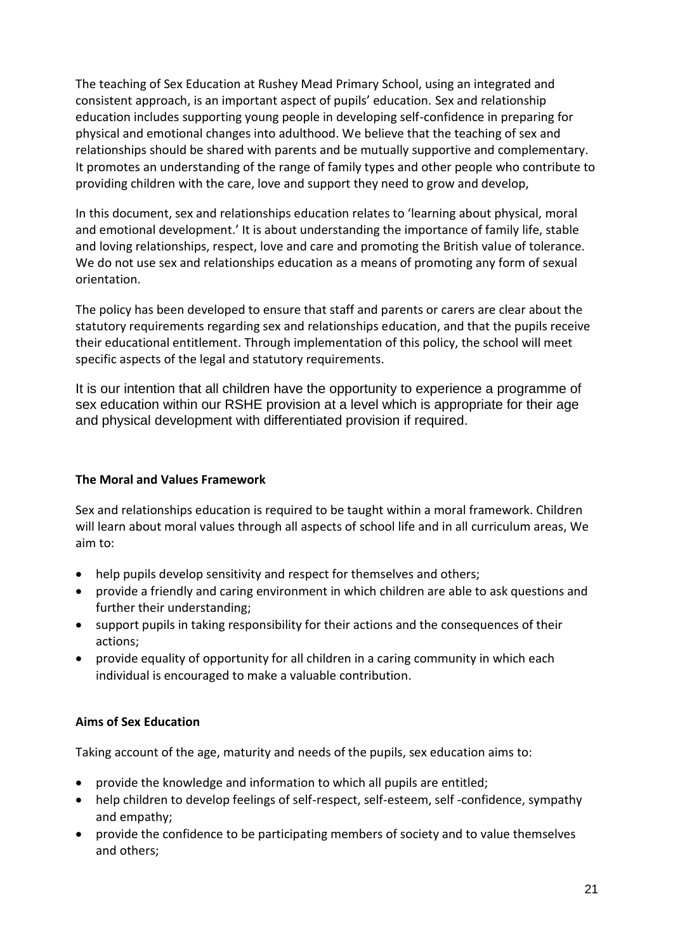The teaching of Sex Education at Rushey Mead Primary School, using an integrated and consistent approach, is an important aspect of pupils' education. Sex and relationship education includes supporting young people in developing self-confidence in preparing for physical and emotional changes into adulthood. We believe that the teaching of sex and relationships should be shared with parents and be mutually supportive and complementary. It promotes an understanding of the range of family types and other people who contribute to providing children with the care, love and support they need to grow and develop,

In this document, sex and relationships education relates to 'learning about physical, moral and emotional development.' It is about understanding the importance of family life, stable and loving relationships, respect, love and care and promoting the British value of tolerance. We do not use sex and relationships education as a means of promoting any form of sexual orientation.

The policy has been developed to ensure that staff and parents or carers are clear about the statutory requirements regarding sex and relationships education, and that the pupils receive their educational entitlement. Through implementation of this policy, the school will meet specific aspects of the legal and statutory requirements.

It is our intention that all children have the opportunity to experience a programme of sex education within our RSHE provision at a level which is appropriate for their age and physical development with differentiated provision if required.

#### **The Moral and Values Framework**

Sex and relationships education is required to be taught within a moral framework. Children will learn about moral values through all aspects of school life and in all curriculum areas, We aim to:

- help pupils develop sensitivity and respect for themselves and others;
- provide a friendly and caring environment in which children are able to ask questions and further their understanding;
- support pupils in taking responsibility for their actions and the consequences of their actions;
- provide equality of opportunity for all children in a caring community in which each individual is encouraged to make a valuable contribution.

#### **Aims of Sex Education**

Taking account of the age, maturity and needs of the pupils, sex education aims to:

- provide the knowledge and information to which all pupils are entitled;
- help children to develop feelings of self-respect, self-esteem, self -confidence, sympathy and empathy;
- provide the confidence to be participating members of society and to value themselves and others;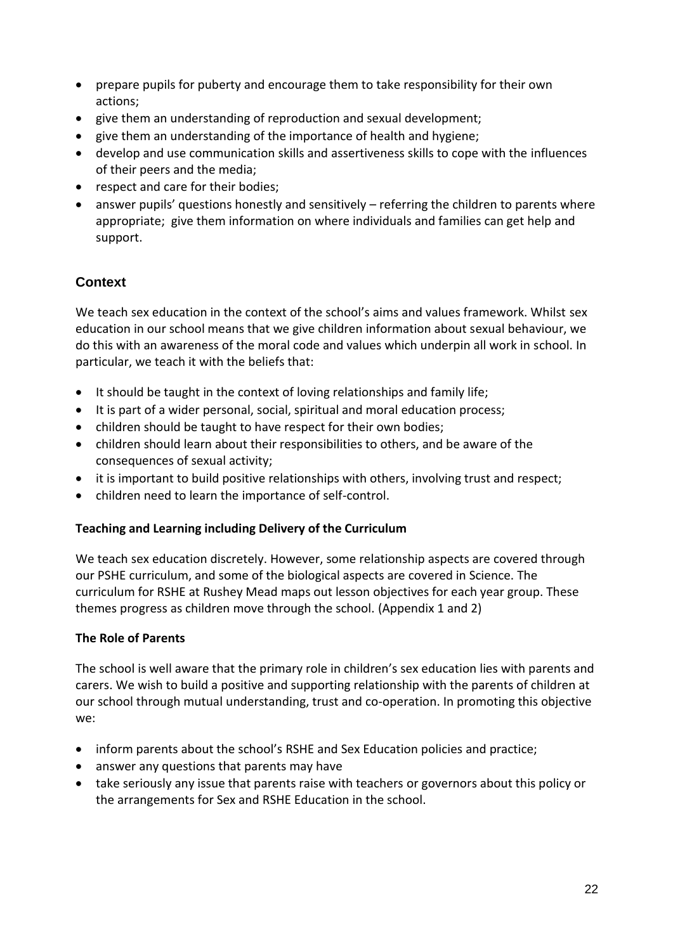- prepare pupils for puberty and encourage them to take responsibility for their own actions;
- give them an understanding of reproduction and sexual development;
- give them an understanding of the importance of health and hygiene;
- develop and use communication skills and assertiveness skills to cope with the influences of their peers and the media;
- respect and care for their bodies;
- answer pupils' questions honestly and sensitively referring the children to parents where appropriate; give them information on where individuals and families can get help and support.

#### **Context**

We teach sex education in the context of the school's aims and values framework. Whilst sex education in our school means that we give children information about sexual behaviour, we do this with an awareness of the moral code and values which underpin all work in school. In particular, we teach it with the beliefs that:

- It should be taught in the context of loving relationships and family life;
- It is part of a wider personal, social, spiritual and moral education process;
- children should be taught to have respect for their own bodies;
- children should learn about their responsibilities to others, and be aware of the consequences of sexual activity;
- it is important to build positive relationships with others, involving trust and respect;
- children need to learn the importance of self-control.

#### **Teaching and Learning including Delivery of the Curriculum**

We teach sex education discretely. However, some relationship aspects are covered through our PSHE curriculum, and some of the biological aspects are covered in Science. The curriculum for RSHE at Rushey Mead maps out lesson objectives for each year group. These themes progress as children move through the school. (Appendix 1 and 2)

#### **The Role of Parents**

The school is well aware that the primary role in children's sex education lies with parents and carers. We wish to build a positive and supporting relationship with the parents of children at our school through mutual understanding, trust and co-operation. In promoting this objective we:

- inform parents about the school's RSHE and Sex Education policies and practice;
- answer any questions that parents may have
- take seriously any issue that parents raise with teachers or governors about this policy or the arrangements for Sex and RSHE Education in the school.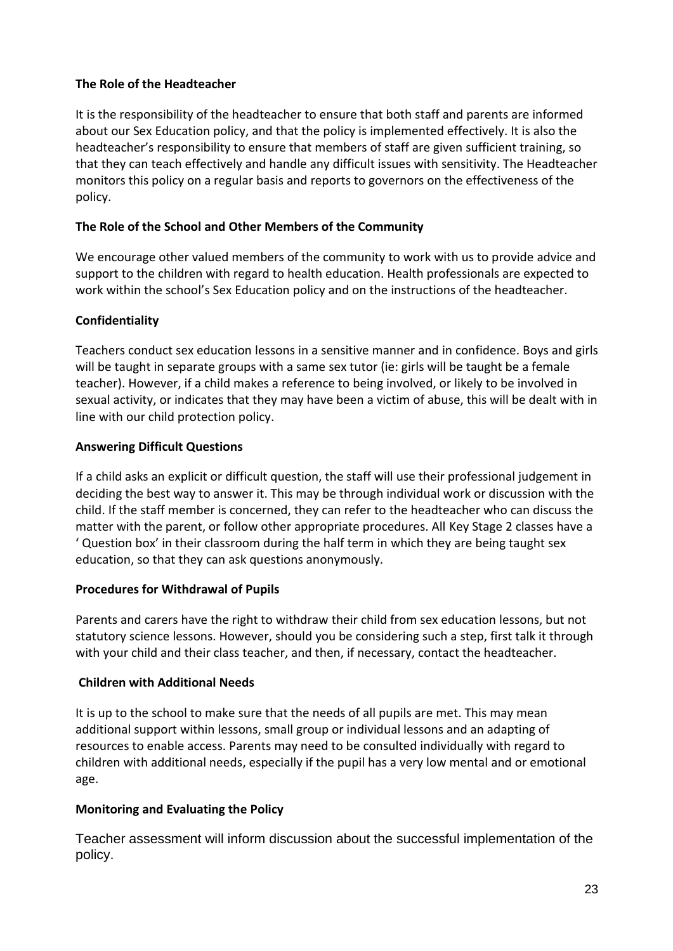#### **The Role of the Headteacher**

It is the responsibility of the headteacher to ensure that both staff and parents are informed about our Sex Education policy, and that the policy is implemented effectively. It is also the headteacher's responsibility to ensure that members of staff are given sufficient training, so that they can teach effectively and handle any difficult issues with sensitivity. The Headteacher monitors this policy on a regular basis and reports to governors on the effectiveness of the policy.

#### **The Role of the School and Other Members of the Community**

We encourage other valued members of the community to work with us to provide advice and support to the children with regard to health education. Health professionals are expected to work within the school's Sex Education policy and on the instructions of the headteacher.

#### **Confidentiality**

Teachers conduct sex education lessons in a sensitive manner and in confidence. Boys and girls will be taught in separate groups with a same sex tutor (ie: girls will be taught be a female teacher). However, if a child makes a reference to being involved, or likely to be involved in sexual activity, or indicates that they may have been a victim of abuse, this will be dealt with in line with our child protection policy.

#### **Answering Difficult Questions**

If a child asks an explicit or difficult question, the staff will use their professional judgement in deciding the best way to answer it. This may be through individual work or discussion with the child. If the staff member is concerned, they can refer to the headteacher who can discuss the matter with the parent, or follow other appropriate procedures. All Key Stage 2 classes have a ' Question box' in their classroom during the half term in which they are being taught sex education, so that they can ask questions anonymously.

#### **Procedures for Withdrawal of Pupils**

Parents and carers have the right to withdraw their child from sex education lessons, but not statutory science lessons. However, should you be considering such a step, first talk it through with your child and their class teacher, and then, if necessary, contact the headteacher.

#### **Children with Additional Needs**

It is up to the school to make sure that the needs of all pupils are met. This may mean additional support within lessons, small group or individual lessons and an adapting of resources to enable access. Parents may need to be consulted individually with regard to children with additional needs, especially if the pupil has a very low mental and or emotional age.

#### **Monitoring and Evaluating the Policy**

Teacher assessment will inform discussion about the successful implementation of the policy.